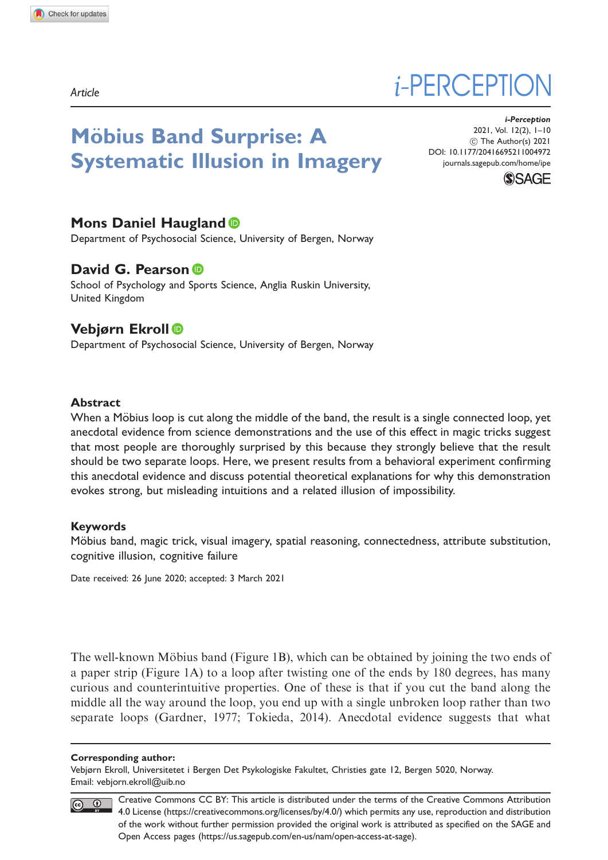Article

# *i*-PERCEPTIO

# **Möbius Band Surprise: A** Systematic Illusion in Imagery

i-Perception 2021, Vol. 12(2), 1–10 ! The Author(s) 2021 [DOI: 10.1177/20416695211004972](http://dx.doi.org/10.1177/20416695211004972) <journals.sagepub.com/home/ipe>



# Mons Daniel Haugland **O**

Department of Psychosocial Science, University of Bergen, Norway

# David G. Pearson ®

School of Psychology and Sports Science, Anglia Ruskin University, United Kingdom

# Vebjørn Ekroll

Department of Psychosocial Science, University of Bergen, Norway

#### Abstract

When a Möbius loop is cut along the middle of the band, the result is a single connected loop, yet anecdotal evidence from science demonstrations and the use of this effect in magic tricks suggest that most people are thoroughly surprised by this because they strongly believe that the result should be two separate loops. Here, we present results from a behavioral experiment confirming this anecdotal evidence and discuss potential theoretical explanations for why this demonstration evokes strong, but misleading intuitions and a related illusion of impossibility.

#### Keywords

Möbius band, magic trick, visual imagery, spatial reasoning, connectedness, attribute substitution, cognitive illusion, cognitive failure

Date received: 26 June 2020; accepted: 3 March 2021

The well-known Möbius band (Figure 1B), which can be obtained by joining the two ends of a paper strip (Figure 1A) to a loop after twisting one of the ends by 180 degrees, has many curious and counterintuitive properties. One of these is that if you cut the band along the middle all the way around the loop, you end up with a single unbroken loop rather than two separate loops (Gardner, 1977; Tokieda, 2014). Anecdotal evidence suggests that what

#### Corresponding author:

Vebjørn Ekroll, Universitetet i Bergen Det Psykologiske Fakultet, Christies gate 12, Bergen 5020, Norway. Email: [vebjorn.ekroll@uib.no](mailto:vebjorn.ekroll@uib.no)

Creative Commons CC BY: This article is distributed under the terms of the Creative Commons Attribution  $\circ$   $\circ$ 4.0 License (https://creativecommons.org/licenses/by/4.0/) which permits any use, reproduction and distribution of the work without further permission provided the original work is attributed as specified on the SAGE and Open Access pages (https://us.sagepub.com/en-us/nam/open-access-at-sage).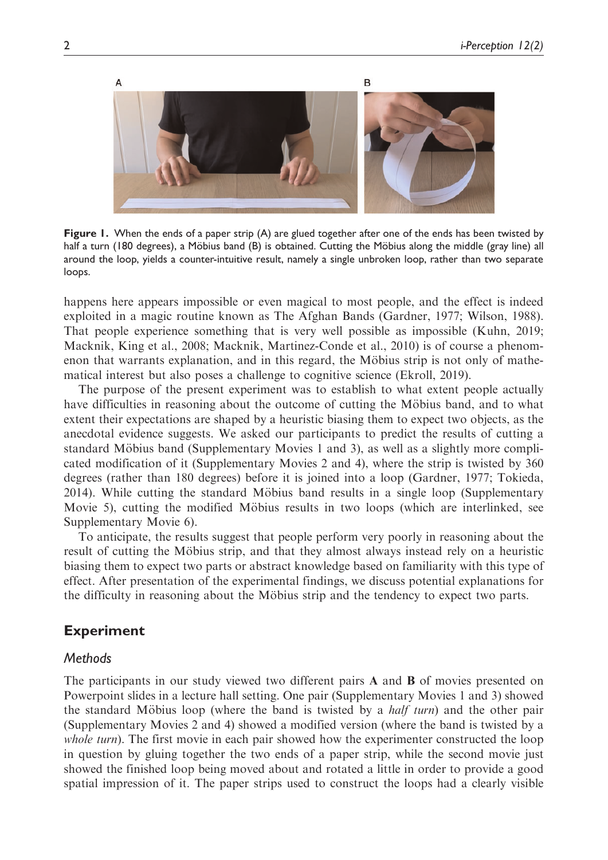

Figure 1. When the ends of a paper strip (A) are glued together after one of the ends has been twisted by half a turn (180 degrees), a Möbius band (B) is obtained. Cutting the Möbius along the middle (gray line) all around the loop, yields a counter-intuitive result, namely a single unbroken loop, rather than two separate loops.

happens here appears impossible or even magical to most people, and the effect is indeed exploited in a magic routine known as The Afghan Bands (Gardner, 1977; Wilson, 1988). That people experience something that is very well possible as impossible (Kuhn, 2019; Macknik, King et al., 2008; Macknik, Martinez-Conde et al., 2010) is of course a phenomenon that warrants explanation, and in this regard, the Möbius strip is not only of mathematical interest but also poses a challenge to cognitive science (Ekroll, 2019).

The purpose of the present experiment was to establish to what extent people actually have difficulties in reasoning about the outcome of cutting the Möbius band, and to what extent their expectations are shaped by a heuristic biasing them to expect two objects, as the anecdotal evidence suggests. We asked our participants to predict the results of cutting a standard Möbius band (Supplementary Movies 1 and 3), as well as a slightly more complicated modification of it (Supplementary Movies 2 and 4), where the strip is twisted by 360 degrees (rather than 180 degrees) before it is joined into a loop (Gardner, 1977; Tokieda, 2014). While cutting the standard Möbius band results in a single loop (Supplementary Movie 5), cutting the modified Möbius results in two loops (which are interlinked, see Supplementary Movie 6).

To anticipate, the results suggest that people perform very poorly in reasoning about the result of cutting the Möbius strip, and that they almost always instead rely on a heuristic biasing them to expect two parts or abstract knowledge based on familiarity with this type of effect. After presentation of the experimental findings, we discuss potential explanations for the difficulty in reasoning about the Möbius strip and the tendency to expect two parts.

# Experiment

### **Methods**

The participants in our study viewed two different pairs A and B of movies presented on Powerpoint slides in a lecture hall setting. One pair (Supplementary Movies 1 and 3) showed the standard Möbius loop (where the band is twisted by a  $half turn$ ) and the other pair (Supplementary Movies 2 and 4) showed a modified version (where the band is twisted by a whole turn). The first movie in each pair showed how the experimenter constructed the loop in question by gluing together the two ends of a paper strip, while the second movie just showed the finished loop being moved about and rotated a little in order to provide a good spatial impression of it. The paper strips used to construct the loops had a clearly visible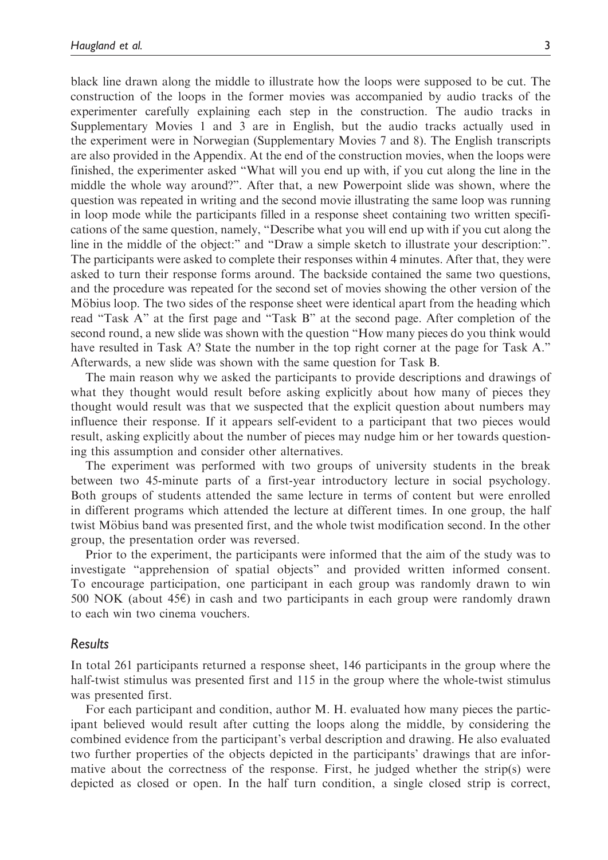black line drawn along the middle to illustrate how the loops were supposed to be cut. The construction of the loops in the former movies was accompanied by audio tracks of the experimenter carefully explaining each step in the construction. The audio tracks in Supplementary Movies 1 and 3 are in English, but the audio tracks actually used in the experiment were in Norwegian (Supplementary Movies 7 and 8). The English transcripts are also provided in the Appendix. At the end of the construction movies, when the loops were finished, the experimenter asked "What will you end up with, if you cut along the line in the middle the whole way around?". After that, a new Powerpoint slide was shown, where the question was repeated in writing and the second movie illustrating the same loop was running in loop mode while the participants filled in a response sheet containing two written specifications of the same question, namely, "Describe what you will end up with if you cut along the line in the middle of the object:" and "Draw a simple sketch to illustrate your description:". The participants were asked to complete their responses within 4 minutes. After that, they were asked to turn their response forms around. The backside contained the same two questions, and the procedure was repeated for the second set of movies showing the other version of the Möbius loop. The two sides of the response sheet were identical apart from the heading which read "Task A" at the first page and "Task B" at the second page. After completion of the second round, a new slide was shown with the question "How many pieces do you think would have resulted in Task A? State the number in the top right corner at the page for Task A." Afterwards, a new slide was shown with the same question for Task B.

The main reason why we asked the participants to provide descriptions and drawings of what they thought would result before asking explicitly about how many of pieces they thought would result was that we suspected that the explicit question about numbers may influence their response. If it appears self-evident to a participant that two pieces would result, asking explicitly about the number of pieces may nudge him or her towards questioning this assumption and consider other alternatives.

The experiment was performed with two groups of university students in the break between two 45-minute parts of a first-year introductory lecture in social psychology. Both groups of students attended the same lecture in terms of content but were enrolled in different programs which attended the lecture at different times. In one group, the half twist Möbius band was presented first, and the whole twist modification second. In the other  $\overline{E}$ group, the presentation order was reversed.

Prior to the experiment, the participants were informed that the aim of the study was to investigate "apprehension of spatial objects" and provided written informed consent. To encourage participation, one participant in each group was randomly drawn to win 500 NOK (about  $45\epsilon$ ) in cash and two participants in each group were randomly drawn to each win two cinema vouchers.

#### Results

In total 261 participants returned a response sheet, 146 participants in the group where the half-twist stimulus was presented first and 115 in the group where the whole-twist stimulus was presented first.

For each participant and condition, author M. H. evaluated how many pieces the participant believed would result after cutting the loops along the middle, by considering the combined evidence from the participant's verbal description and drawing. He also evaluated two further properties of the objects depicted in the participants' drawings that are informative about the correctness of the response. First, he judged whether the strip(s) were depicted as closed or open. In the half turn condition, a single closed strip is correct,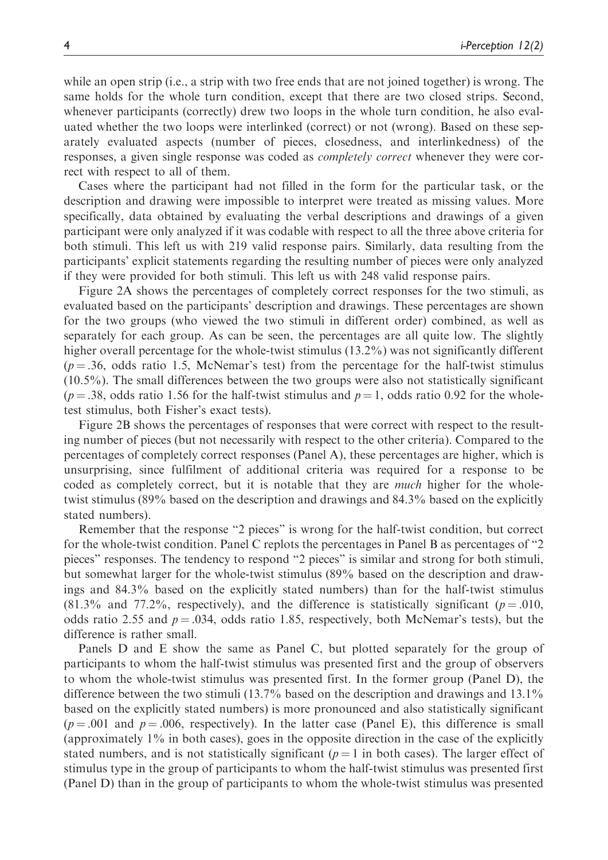while an open strip (i.e., a strip with two free ends that are not joined together) is wrong. The same holds for the whole turn condition, except that there are two closed strips. Second, whenever participants (correctly) drew two loops in the whole turn condition, he also evaluated whether the two loops were interlinked (correct) or not (wrong). Based on these separately evaluated aspects (number of pieces, closedness, and interlinkedness) of the responses, a given single response was coded as completely correct whenever they were correct with respect to all of them.

Cases where the participant had not filled in the form for the particular task, or the description and drawing were impossible to interpret were treated as missing values. More specifically, data obtained by evaluating the verbal descriptions and drawings of a given participant were only analyzed if it was codable with respect to all the three above criteria for both stimuli. This left us with 219 valid response pairs. Similarly, data resulting from the participants' explicit statements regarding the resulting number of pieces were only analyzed if they were provided for both stimuli. This left us with 248 valid response pairs.

Figure 2A shows the percentages of completely correct responses for the two stimuli, as evaluated based on the participants' description and drawings. These percentages are shown for the two groups (who viewed the two stimuli in different order) combined, as well as separately for each group. As can be seen, the percentages are all quite low. The slightly higher overall percentage for the whole-twist stimulus (13.2%) was not significantly different  $(p = .36, \text{ odds ratio } 1.5, \text{ McNemar's test})$  from the percentage for the half-twist stimulus (10.5%). The small differences between the two groups were also not statistically significant  $(p = .38, \text{ odds ratio } 1.56 \text{ for the half-twist stimulus and } p = 1, \text{ odds ratio } 0.92 \text{ for the whole-}$ test stimulus, both Fisher's exact tests).

Figure 2B shows the percentages of responses that were correct with respect to the resulting number of pieces (but not necessarily with respect to the other criteria). Compared to the percentages of completely correct responses (Panel A), these percentages are higher, which is unsurprising, since fulfilment of additional criteria was required for a response to be coded as completely correct, but it is notable that they are *much* higher for the wholetwist stimulus (89% based on the description and drawings and 84.3% based on the explicitly stated numbers).

Remember that the response "2 pieces" is wrong for the half-twist condition, but correct for the whole-twist condition. Panel C replots the percentages in Panel B as percentages of "2 pieces" responses. The tendency to respond "2 pieces" is similar and strong for both stimuli, but somewhat larger for the whole-twist stimulus (89% based on the description and drawings and 84.3% based on the explicitly stated numbers) than for the half-twist stimulus  $(81.3\%$  and 77.2%, respectively), and the difference is statistically significant ( $p = .010$ , odds ratio 2.55 and  $p = .034$ , odds ratio 1.85, respectively, both McNemar's tests), but the difference is rather small.

Panels D and E show the same as Panel C, but plotted separately for the group of participants to whom the half-twist stimulus was presented first and the group of observers to whom the whole-twist stimulus was presented first. In the former group (Panel D), the difference between the two stimuli (13.7% based on the description and drawings and 13.1% based on the explicitly stated numbers) is more pronounced and also statistically significant  $(p = .001$  and  $p = .006$ , respectively). In the latter case (Panel E), this difference is small (approximately 1% in both cases), goes in the opposite direction in the case of the explicitly stated numbers, and is not statistically significant ( $p = 1$  in both cases). The larger effect of stimulus type in the group of participants to whom the half-twist stimulus was presented first (Panel D) than in the group of participants to whom the whole-twist stimulus was presented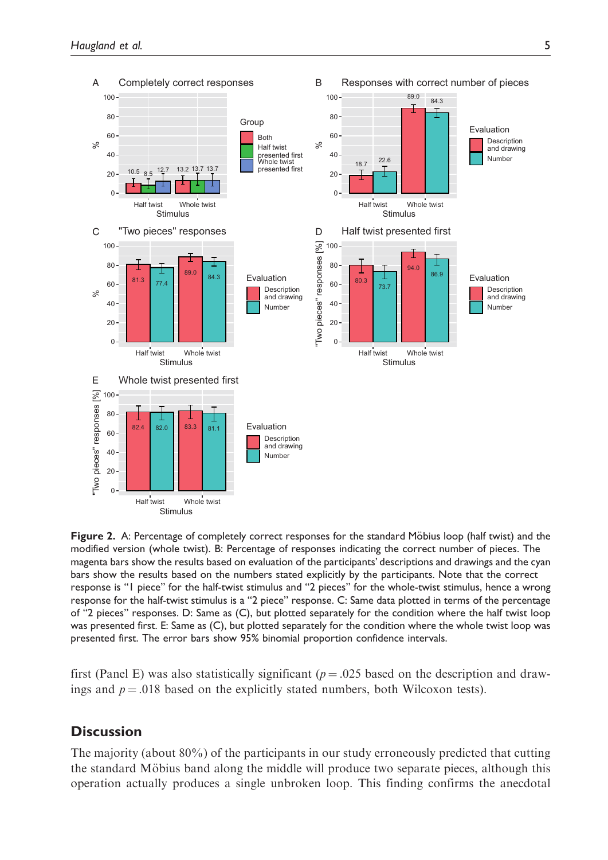

Figure 2. A: Percentage of completely correct responses for the standard Möbius loop (half twist) and the modified version (whole twist). B: Percentage of responses indicating the correct number of pieces. The magenta bars show the results based on evaluation of the participants' descriptions and drawings and the cyan bars show the results based on the numbers stated explicitly by the participants. Note that the correct response is "1 piece" for the half-twist stimulus and "2 pieces" for the whole-twist stimulus, hence a wrong response for the half-twist stimulus is a "2 piece" response. C: Same data plotted in terms of the percentage of "2 pieces" responses. D: Same as (C), but plotted separately for the condition where the half twist loop was presented first. E: Same as (C), but plotted separately for the condition where the whole twist loop was presented first. The error bars show 95% binomial proportion confidence intervals.

first (Panel E) was also statistically significant ( $p = .025$  based on the description and drawings and  $p = .018$  based on the explicitly stated numbers, both Wilcoxon tests).

# **Discussion**

The majority (about 80%) of the participants in our study erroneously predicted that cutting the standard Möbius band along the middle will produce two separate pieces, although this operation actually produces a single unbroken loop. This finding confirms the anecdotal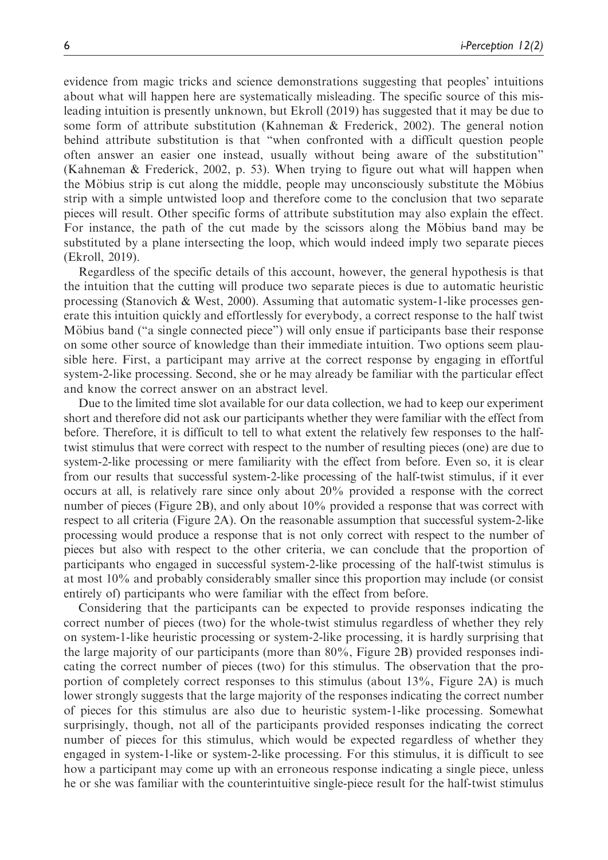evidence from magic tricks and science demonstrations suggesting that peoples' intuitions about what will happen here are systematically misleading. The specific source of this misleading intuition is presently unknown, but Ekroll (2019) has suggested that it may be due to some form of attribute substitution (Kahneman & Frederick, 2002). The general notion behind attribute substitution is that "when confronted with a difficult question people often answer an easier one instead, usually without being aware of the substitution" (Kahneman & Frederick, 2002, p. 53). When trying to figure out what will happen when the Möbius strip is cut along the middle, people may unconsciously substitute the Möbius strip with a simple untwisted loop and therefore come to the conclusion that two separate pieces will result. Other specific forms of attribute substitution may also explain the effect. For instance, the path of the cut made by the scissors along the Möbius band may be substituted by a plane intersecting the loop, which would indeed imply two separate pieces (Ekroll, 2019).

Regardless of the specific details of this account, however, the general hypothesis is that the intuition that the cutting will produce two separate pieces is due to automatic heuristic processing (Stanovich & West, 2000). Assuming that automatic system-1-like processes generate this intuition quickly and effortlessly for everybody, a correct response to the half twist Möbius band ("a single connected piece") will only ensue if participants base their response on some other source of knowledge than their immediate intuition. Two options seem plausible here. First, a participant may arrive at the correct response by engaging in effortful system-2-like processing. Second, she or he may already be familiar with the particular effect and know the correct answer on an abstract level.

Due to the limited time slot available for our data collection, we had to keep our experiment short and therefore did not ask our participants whether they were familiar with the effect from before. Therefore, it is difficult to tell to what extent the relatively few responses to the halftwist stimulus that were correct with respect to the number of resulting pieces (one) are due to system-2-like processing or mere familiarity with the effect from before. Even so, it is clear from our results that successful system-2-like processing of the half-twist stimulus, if it ever occurs at all, is relatively rare since only about 20% provided a response with the correct number of pieces (Figure 2B), and only about 10% provided a response that was correct with respect to all criteria (Figure 2A). On the reasonable assumption that successful system-2-like processing would produce a response that is not only correct with respect to the number of pieces but also with respect to the other criteria, we can conclude that the proportion of participants who engaged in successful system-2-like processing of the half-twist stimulus is at most 10% and probably considerably smaller since this proportion may include (or consist entirely of) participants who were familiar with the effect from before.

Considering that the participants can be expected to provide responses indicating the correct number of pieces (two) for the whole-twist stimulus regardless of whether they rely on system-1-like heuristic processing or system-2-like processing, it is hardly surprising that the large majority of our participants (more than 80%, Figure 2B) provided responses indicating the correct number of pieces (two) for this stimulus. The observation that the proportion of completely correct responses to this stimulus (about 13%, Figure 2A) is much lower strongly suggests that the large majority of the responses indicating the correct number of pieces for this stimulus are also due to heuristic system-1-like processing. Somewhat surprisingly, though, not all of the participants provided responses indicating the correct number of pieces for this stimulus, which would be expected regardless of whether they engaged in system-1-like or system-2-like processing. For this stimulus, it is difficult to see how a participant may come up with an erroneous response indicating a single piece, unless he or she was familiar with the counterintuitive single-piece result for the half-twist stimulus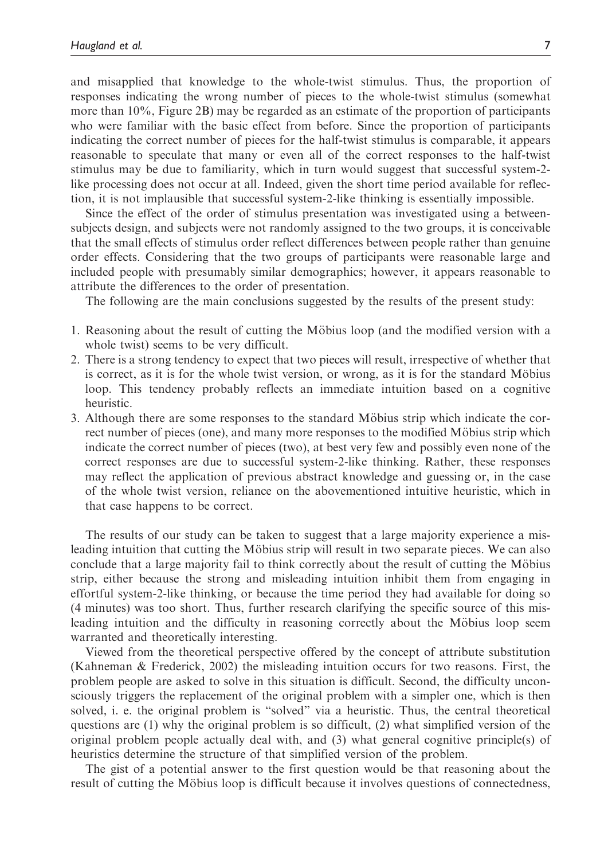and misapplied that knowledge to the whole-twist stimulus. Thus, the proportion of responses indicating the wrong number of pieces to the whole-twist stimulus (somewhat more than 10%, Figure 2B) may be regarded as an estimate of the proportion of participants who were familiar with the basic effect from before. Since the proportion of participants indicating the correct number of pieces for the half-twist stimulus is comparable, it appears reasonable to speculate that many or even all of the correct responses to the half-twist stimulus may be due to familiarity, which in turn would suggest that successful system-2 like processing does not occur at all. Indeed, given the short time period available for reflection, it is not implausible that successful system-2-like thinking is essentially impossible.

Since the effect of the order of stimulus presentation was investigated using a betweensubjects design, and subjects were not randomly assigned to the two groups, it is conceivable that the small effects of stimulus order reflect differences between people rather than genuine order effects. Considering that the two groups of participants were reasonable large and included people with presumably similar demographics; however, it appears reasonable to attribute the differences to the order of presentation.

The following are the main conclusions suggested by the results of the present study:

- 1. Reasoning about the result of cutting the Möbius loop (and the modified version with a whole twist) seems to be very difficult.
- 2. There is a strong tendency to expect that two pieces will result, irrespective of whether that is correct, as it is for the whole twist version, or wrong, as it is for the standard Möbius loop. This tendency probably reflects an immediate intuition based on a cognitive heuristic.
- 3. Although there are some responses to the standard Möbius strip which indicate the correct number of pieces (one), and many more responses to the modified Möbius strip which indicate the correct number of pieces (two), at best very few and possibly even none of the correct responses are due to successful system-2-like thinking. Rather, these responses may reflect the application of previous abstract knowledge and guessing or, in the case of the whole twist version, reliance on the abovementioned intuitive heuristic, which in that case happens to be correct.

The results of our study can be taken to suggest that a large majority experience a misleading intuition that cutting the Möbius strip will result in two separate pieces. We can also conclude that a large majority fail to think correctly about the result of cutting the Möbius strip, either because the strong and misleading intuition inhibit them from engaging in effortful system-2-like thinking, or because the time period they had available for doing so (4 minutes) was too short. Thus, further research clarifying the specific source of this misleading intuition and the difficulty in reasoning correctly about the Möbius loop seem warranted and theoretically interesting.

Viewed from the theoretical perspective offered by the concept of attribute substitution (Kahneman & Frederick, 2002) the misleading intuition occurs for two reasons. First, the problem people are asked to solve in this situation is difficult. Second, the difficulty unconsciously triggers the replacement of the original problem with a simpler one, which is then solved, i. e. the original problem is "solved" via a heuristic. Thus, the central theoretical questions are (1) why the original problem is so difficult, (2) what simplified version of the original problem people actually deal with, and (3) what general cognitive principle(s) of heuristics determine the structure of that simplified version of the problem.

The gist of a potential answer to the first question would be that reasoning about the result of cutting the Möbius loop is difficult because it involves questions of connectedness,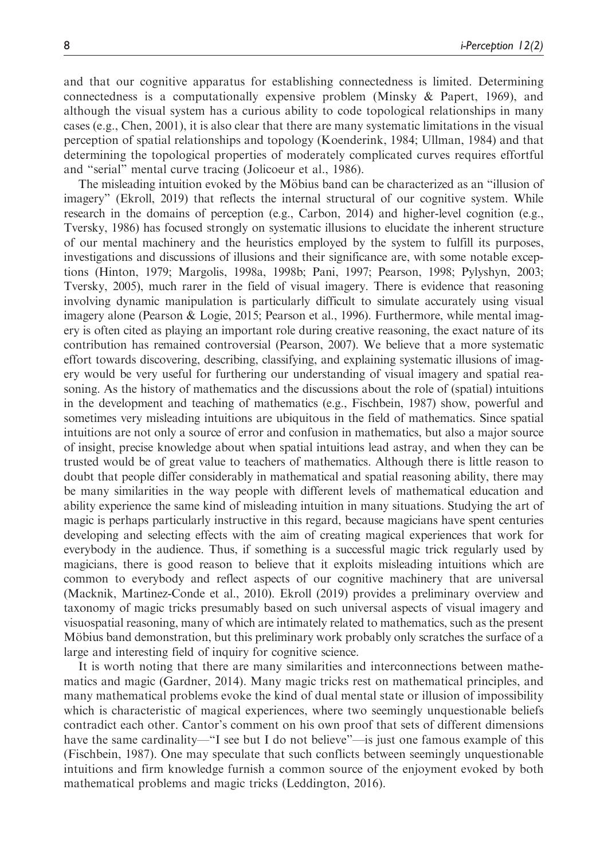and that our cognitive apparatus for establishing connectedness is limited. Determining connectedness is a computationally expensive problem (Minsky & Papert, 1969), and although the visual system has a curious ability to code topological relationships in many cases (e.g., Chen, 2001), it is also clear that there are many systematic limitations in the visual perception of spatial relationships and topology (Koenderink, 1984; Ullman, 1984) and that determining the topological properties of moderately complicated curves requires effortful and "serial" mental curve tracing (Jolicoeur et al., 1986).

The misleading intuition evoked by the Möbius band can be characterized as an "illusion of imagery" (Ekroll, 2019) that reflects the internal structural of our cognitive system. While research in the domains of perception (e.g., Carbon, 2014) and higher-level cognition (e.g., Tversky, 1986) has focused strongly on systematic illusions to elucidate the inherent structure of our mental machinery and the heuristics employed by the system to fulfill its purposes, investigations and discussions of illusions and their significance are, with some notable exceptions (Hinton, 1979; Margolis, 1998a, 1998b; Pani, 1997; Pearson, 1998; Pylyshyn, 2003; Tversky, 2005), much rarer in the field of visual imagery. There is evidence that reasoning involving dynamic manipulation is particularly difficult to simulate accurately using visual imagery alone (Pearson & Logie, 2015; Pearson et al., 1996). Furthermore, while mental imagery is often cited as playing an important role during creative reasoning, the exact nature of its contribution has remained controversial (Pearson, 2007). We believe that a more systematic effort towards discovering, describing, classifying, and explaining systematic illusions of imagery would be very useful for furthering our understanding of visual imagery and spatial reasoning. As the history of mathematics and the discussions about the role of (spatial) intuitions in the development and teaching of mathematics (e.g., Fischbein, 1987) show, powerful and sometimes very misleading intuitions are ubiquitous in the field of mathematics. Since spatial intuitions are not only a source of error and confusion in mathematics, but also a major source of insight, precise knowledge about when spatial intuitions lead astray, and when they can be trusted would be of great value to teachers of mathematics. Although there is little reason to doubt that people differ considerably in mathematical and spatial reasoning ability, there may be many similarities in the way people with different levels of mathematical education and ability experience the same kind of misleading intuition in many situations. Studying the art of magic is perhaps particularly instructive in this regard, because magicians have spent centuries developing and selecting effects with the aim of creating magical experiences that work for everybody in the audience. Thus, if something is a successful magic trick regularly used by magicians, there is good reason to believe that it exploits misleading intuitions which are common to everybody and reflect aspects of our cognitive machinery that are universal (Macknik, Martinez-Conde et al., 2010). Ekroll (2019) provides a preliminary overview and taxonomy of magic tricks presumably based on such universal aspects of visual imagery and visuospatial reasoning, many of which are intimately related to mathematics, such as the present Möbius band demonstration, but this preliminary work probably only scratches the surface of a large and interesting field of inquiry for cognitive science.

It is worth noting that there are many similarities and interconnections between mathematics and magic (Gardner, 2014). Many magic tricks rest on mathematical principles, and many mathematical problems evoke the kind of dual mental state or illusion of impossibility which is characteristic of magical experiences, where two seemingly unquestionable beliefs contradict each other. Cantor's comment on his own proof that sets of different dimensions have the same cardinality—"I see but I do not believe"—is just one famous example of this (Fischbein, 1987). One may speculate that such conflicts between seemingly unquestionable intuitions and firm knowledge furnish a common source of the enjoyment evoked by both mathematical problems and magic tricks (Leddington, 2016).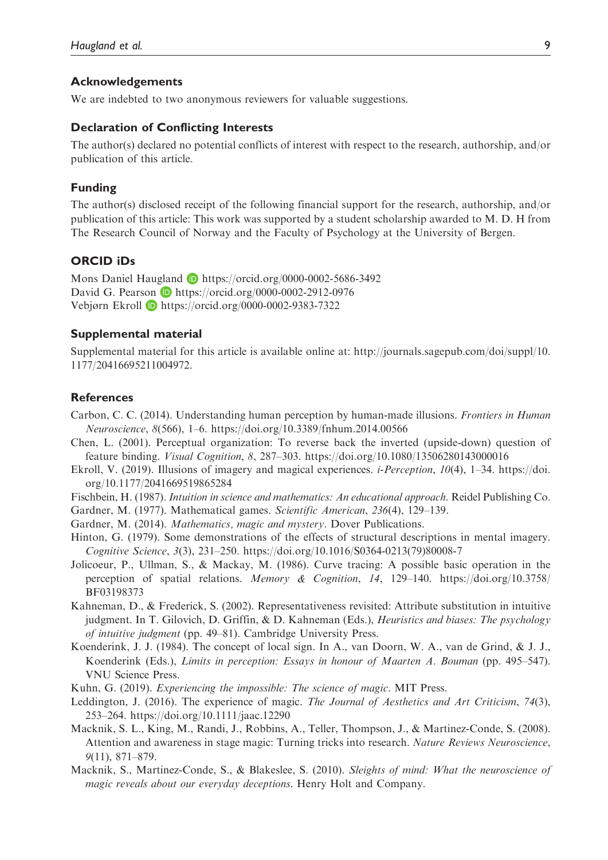#### Acknowledgements

We are indebted to two anonymous reviewers for valuable suggestions.

#### Declaration of Conflicting Interests

The author(s) declared no potential conflicts of interest with respect to the research, authorship, and/or publication of this article.

#### Funding

The author(s) disclosed receipt of the following financial support for the research, authorship, and/or publication of this article: This work was supported by a student scholarship awarded to M. D. H from The Research Council of Norway and the Faculty of Psychology at the University of Bergen.

#### ORCID iDs

Mons Daniel Haugland D <https://orcid.org/0000-0002-5686-3492> David G. Pearson **D** <https://orcid.org/0000-0002-2912-0976> Vebjørn Ekroll <https://orcid.org/0000-0002-9383-7322>

#### Supplemental material

Supplemental material for this article is available online at: [http://journals.sagepub.com/doi/suppl/10.](http://journals.sagepub.com/doi/suppl/10.1177/20416695211004972) [1177/20416695211004972.](http://journals.sagepub.com/doi/suppl/10.1177/20416695211004972)

#### **References**

- Carbon, C. C. (2014). Understanding human perception by human-made illusions. Frontiers in Human Neuroscience, 8(566), 1–6.<https://doi.org/10.3389/fnhum.2014.00566>
- Chen, L. (2001). Perceptual organization: To reverse back the inverted (upside-down) question of feature binding. Visual Cognition, 8, 287–303.<https://doi.org/10.1080/13506280143000016>
- Ekroll, V. (2019). Illusions of imagery and magical experiences. i-Perception, 10(4), 1–34. [https://doi.](https://doi.org/10.1177/2041669519865284) [org/10.1177/2041669519865284](https://doi.org/10.1177/2041669519865284)
- Fischbein, H. (1987). Intuition in science and mathematics: An educational approach. Reidel Publishing Co.
- Gardner, M. (1977). Mathematical games. Scientific American, 236(4), 129–139.
- Gardner, M. (2014). Mathematics, magic and mystery. Dover Publications.
- Hinton, G. (1979). Some demonstrations of the effects of structural descriptions in mental imagery. Cognitive Science, 3(3), 231–250. [https://doi.org/10.1016/S0364-0213\(](https://doi.org/10.1016/S0364-0213)79)80008-7
- Jolicoeur, P., Ullman, S., & Mackay, M. (1986). Curve tracing: A possible basic operation in the perception of spatial relations. Memory & Cognition, 14, 129–140. [https://doi.org/10.3758/](https://doi.org/10.3758/BF03198373) [BF03198373](https://doi.org/10.3758/BF03198373)
- Kahneman, D., & Frederick, S. (2002). Representativeness revisited: Attribute substitution in intuitive judgment. In T. Gilovich, D. Griffin, & D. Kahneman (Eds.), Heuristics and biases: The psychology of intuitive judgment (pp. 49–81). Cambridge University Press.
- Koenderink, J. J. (1984). The concept of local sign. In A., van Doorn, W. A., van de Grind, & J. J., Koenderink (Eds.), Limits in perception: Essays in honour of Maarten A. Bouman (pp. 495–547). VNU Science Press.
- Kuhn, G. (2019). Experiencing the impossible: The science of magic. MIT Press.
- Leddington, J. (2016). The experience of magic. The Journal of Aesthetics and Art Criticism, 74(3), 253–264.<https://doi.org/10.1111/jaac.12290>
- Macknik, S. L., King, M., Randi, J., Robbins, A., Teller, Thompson, J., & Martinez-Conde, S. (2008). Attention and awareness in stage magic: Turning tricks into research. Nature Reviews Neuroscience, 9(11), 871–879.
- Macknik, S., Martinez-Conde, S., & Blakeslee, S. (2010). Sleights of mind: What the neuroscience of magic reveals about our everyday deceptions. Henry Holt and Company.